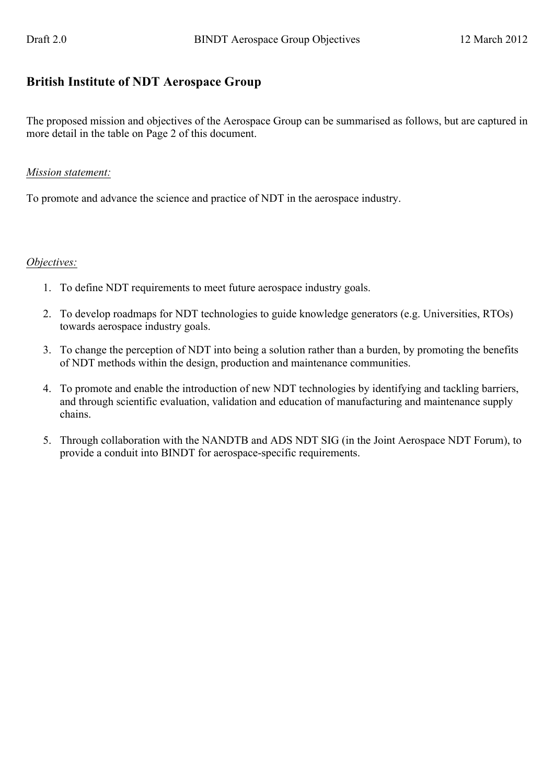## **British Institute of NDT Aerospace Group**

The proposed mission and objectives of the Aerospace Group can be summarised as follows, but are captured in more detail in the table on Page 2 of this document.

## *Mission statement:*

To promote and advance the science and practice of NDT in the aerospace industry.

## *Objectives:*

- 1. To define NDT requirements to meet future aerospace industry goals.
- 2. To develop roadmaps for NDT technologies to guide knowledge generators (e.g. Universities, RTOs) towards aerospace industry goals.
- 3. To change the perception of NDT into being a solution rather than a burden, by promoting the benefits of NDT methods within the design, production and maintenance communities.
- 4. To promote and enable the introduction of new NDT technologies by identifying and tackling barriers, and through scientific evaluation, validation and education of manufacturing and maintenance supply chains.
- 5. Through collaboration with the NANDTB and ADS NDT SIG (in the Joint Aerospace NDT Forum), to provide a conduit into BINDT for aerospace-specific requirements.